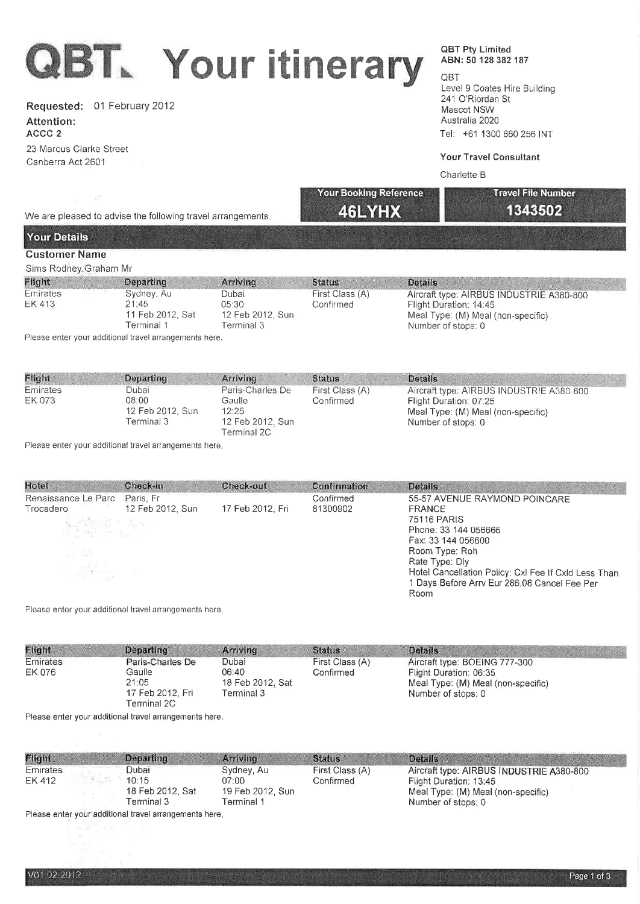# QBT. Your itinerary

Requested: 01 February 2012

Attention: ACCC 2 23 Marcus Clarke Sireet

Canberra Act 2601

# OBT Pty Limited ABN: 50 128 382 187

QBT Level 9 Coates Hìre Building 241 O'Riordan St Mascot NSW Australia 2020 Tel: +61 1300 660 256 INT

# Your Travel Consultant

13435D2

### Charlette B

Your Booking Reference Travel File Number

We are pleased to advise the following travel arrangements.

# Your Details

# Customer Name

Sims Rodney,Graham Mr

| Flight             | Departing                                             | Arriving                                          | <b>Status</b>                | Details                                                                                                                        |
|--------------------|-------------------------------------------------------|---------------------------------------------------|------------------------------|--------------------------------------------------------------------------------------------------------------------------------|
| Emirates<br>EK 413 | Sydney, Au<br>21:45<br>11 Feb 2012, Sat<br>Terminal 1 | Dubai<br>05:30<br>12 Feb 2012, Sun.<br>Terminal 3 | First Class (A)<br>Confirmed | Aircraft type: AIRBUS INDUSTRIE A380-800<br>Flight Duration: 14:45<br>Meal Type: (M) Meal (non-specific)<br>Number of stops: 0 |

46LYHX

Please enter your additional travel arrangements here.

| Flight             | Departing                                         | Arriving                                                               | <b>Status</b>                | <b>Details</b>                                                                                                                 |
|--------------------|---------------------------------------------------|------------------------------------------------------------------------|------------------------------|--------------------------------------------------------------------------------------------------------------------------------|
| Emirates<br>EK 073 | Dubai<br>08:00<br>12 Feb 2012, Sun<br>Terminal 3. | Paris-Charles De<br>Gaulle<br>12:25<br>12 Feb 2012, Sun<br>Terminal 2C | First Class (A)<br>Confirmed | Aircraft type: AIRBUS INDUSTRIE A380-800<br>Flight Duration: 07:25<br>Meal Type: (M) Meal (non-specific)<br>Number of stops; 0 |

Please enter your additional travel arrangements here

| Hotel                         | Check-in         | Check-out        | Confirmation | <b>Details</b>                                       |  |  |
|-------------------------------|------------------|------------------|--------------|------------------------------------------------------|--|--|
| Renaissance Le Parc Paris. Fr |                  |                  | Confirmed    | 55-57 AVENUE RAYMOND POINCARE                        |  |  |
| Trocadero                     | 12 Feb 2012, Sun | 17 Feb 2012, Fri | 81300902     | <b>FRANCE</b>                                        |  |  |
|                               |                  |                  |              | 75116 PARIS                                          |  |  |
| <b>大学者 第一</b>                 |                  |                  |              | Phone: 33 144 056666                                 |  |  |
|                               |                  |                  |              | Fax: 33 144 056600                                   |  |  |
| o M                           |                  |                  |              | Room Type: Roh                                       |  |  |
|                               |                  |                  |              | Rate Type: Dly                                       |  |  |
| 不好。                           |                  |                  |              | Hotel Cancellation Policy: Cxl Fee If Cxld Less Than |  |  |
|                               |                  |                  |              | 1 Days Before Arry Eur 286.08 Cancel Fee Per         |  |  |
|                               |                  |                  |              | Room                                                 |  |  |

Please enter your additional travel arrangements here.

| Flight   | Departing                                                                                     | Arriving | <b>Status</b>   | <b>Details</b>                                                                     |
|----------|-----------------------------------------------------------------------------------------------|----------|-----------------|------------------------------------------------------------------------------------|
| Emirates | Paris-Charles De                                                                              | Dubai    | First Class (A) | Aircraft type: BOEING 777-300                                                      |
| EK 076   | Gaulle<br>06:40<br>21:05<br>18 Feb 2012, Sat<br>Terminal 3<br>17 Feb 2012, Fri<br>Terminal 2C |          | Confirmed       | Flight Duration: 06:35<br>Meal Type: (M) Meal (non-specific)<br>Number of stops: 0 |

Please enter your additional travel arrangements here.

| Emirates<br>Dubai<br>Aircraft type: AIRBUS INDUSTRIE A380-800<br>Sydney, Au<br>First Class (A)<br>10:15<br>EK 412<br>07:00<br>Confirmed<br>Flight Duration: 13:45 |  |
|-------------------------------------------------------------------------------------------------------------------------------------------------------------------|--|
| 18 Feb 2012, Sat<br>19 Feb 2012, Sun<br>Meal Type: (M) Meal (non-specific)<br>Terminal 3<br>Terminal 1<br>Number of stops: 0                                      |  |

Please enter your additional travel arrangements here.

 $\mathcal{C}(\mathcal{C})$  and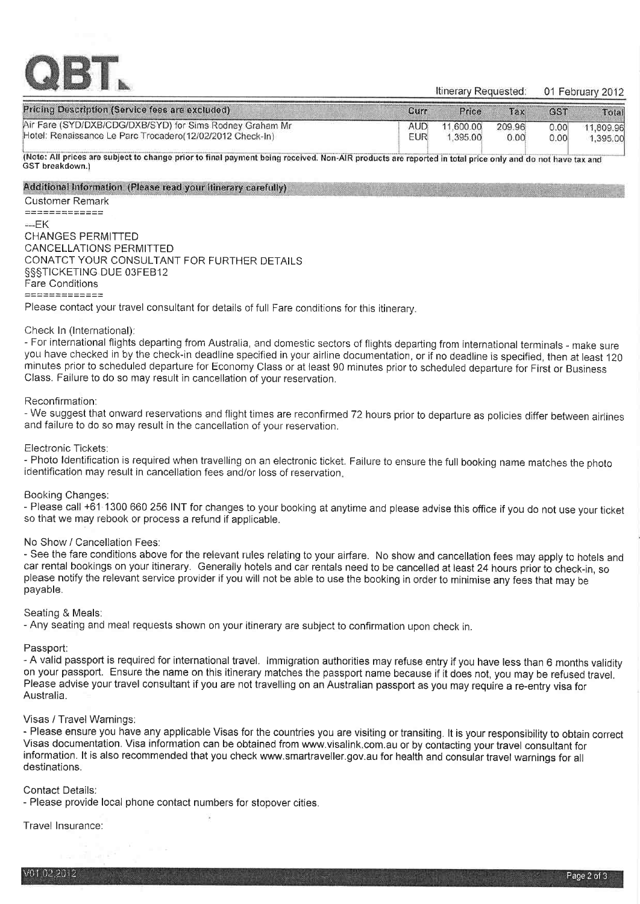

01 February 2012 Itinerary Requested:

| Pricing Description (Service fees are excluded)           | Curr | Price     | Tax.   | GS <sub>1</sub> | Total     |
|-----------------------------------------------------------|------|-----------|--------|-----------------|-----------|
| Air Fare (SYD/DXB/CDG/DXB/SYD) for Sims Rodney Graham Mr  | AUD. | 11,600.00 | 209.96 | 0.00            | 11.809.96 |
| Hotel: Renaissance Le Parc Trocadero(12/02/2012 Check-In) | EUR  | 1.395.00  | 0.00   | 0.001           | 1,395.00  |

(Note: All prices are subject to change prior to final payment being received. Non-AIR products are reported in total price only and do not have tax and GST breakdown.)

#### Additional Information (Please read your itinerary carefully)

#### **Customer Remark**

 $2222222222222$  $---FK$ **CHANGES PERMITTED** CANCELLATIONS PERMITTED CONATCT YOUR CONSULTANT FOR FURTHER DETAILS §§§TICKETING DUE 03FEB12 **Fare Conditions** 0000000000000

Please contact your travel consultant for details of full Fare conditions for this itinerary.

#### Check In (International):

- For international flights departing from Australia, and domestic sectors of flights departing from international terminals - make sure you have checked in by the check-in deadline specified in your airline documentation, or if no deadline is specified, then at least 120 minutes prior to scheduled departure for Economy Class or at least 90 minutes prior to scheduled departure for First or Business Class. Failure to do so may result in cancellation of your reservation.

#### Reconfirmation:

- We suggest that onward reservations and flight times are reconfirmed 72 hours prior to departure as policies differ between airlines and failure to do so may result in the cancellation of your reservation.

#### Electronic Tickets:

- Photo Identification is required when travelling on an electronic ticket. Failure to ensure the full booking name matches the photo identification may result in cancellation fees and/or loss of reservation.

#### Booking Changes:

- Please call +61 1300 660 256 INT for changes to your booking at anytime and please advise this office if you do not use your ticket so that we may rebook or process a refund if applicable.

#### No Show / Cancellation Fees:

- See the fare conditions above for the relevant rules relating to your airfare. No show and cancellation fees may apply to hotels and car rental bookings on your itinerary. Generally hotels and car rentals need to be cancelled at least 24 hours prior to check-in, so please notify the relevant service provider if you will not be able to use the booking in order to minimise any fees that may be payable.

#### Seating & Meals:

- Any seating and meal requests shown on your itinerary are subject to confirmation upon check in.

# Passport:

- A valid passport is required for international travel. Immigration authorities may refuse entry if you have less than 6 months validity on your passport. Ensure the name on this itinerary matches the passport name because if it does not, you may be refused travel. Please advise your travel consultant if you are not travelling on an Australian passport as you may require a re-entry visa for Australia.

#### Visas / Travel Warnings:

- Please ensure you have any applicable Visas for the countries you are visiting or transiting. It is your responsibility to obtain correct Visas documentation. Visa information can be obtained from www.visalink.com.au or by contacting your travel consultant for information. It is also recommended that you check www.smartraveller.gov.au for health and consular travel warnings for all destinations.

# **Contact Details:**

- Please provide local phone contact numbers for stopover cities.

# Travel Insurance: